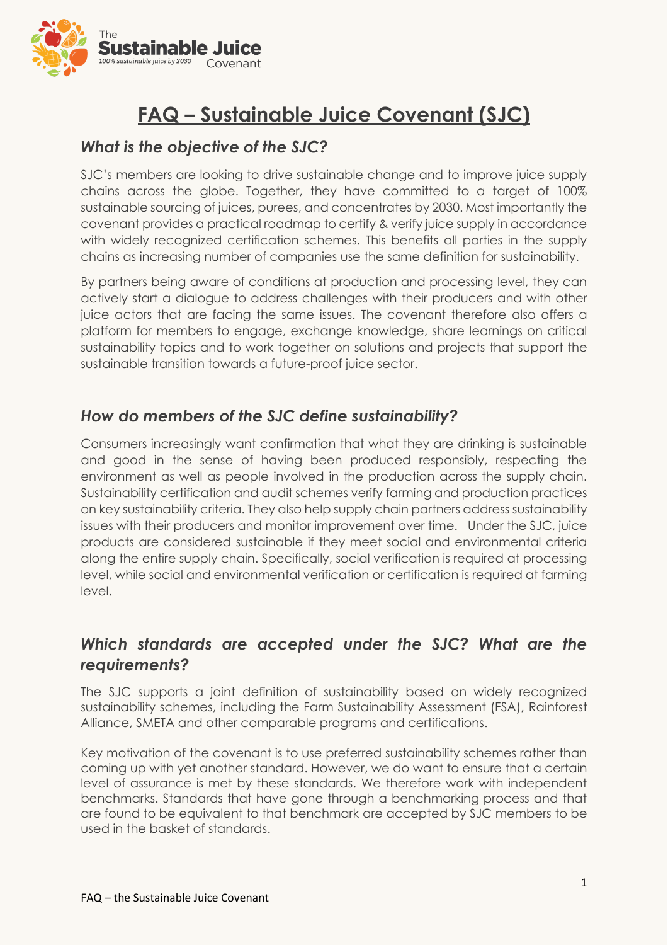

# **FAQ – Sustainable Juice Covenant (SJC)**

#### *What is the objective of the SJC?*

SJC's members are looking to drive sustainable change and to improve juice supply chains across the globe. Together, they have committed to a target of 100% sustainable sourcing of juices, purees, and concentrates by 2030. Most importantly the covenant provides a practical roadmap to certify & verify juice supply in accordance with widely recognized certification schemes. This benefits all parties in the supply chains as increasing number of companies use the same definition for sustainability.

By partners being aware of conditions at production and processing level, they can actively start a dialogue to address challenges with their producers and with other juice actors that are facing the same issues. The covenant therefore also offers a platform for members to engage, exchange knowledge, share learnings on critical sustainability topics and to work together on solutions and projects that support the sustainable transition towards a future-proof juice sector.

## *How do members of the SJC define sustainability?*

Consumers increasingly want confirmation that what they are drinking is sustainable and good in the sense of having been produced responsibly, respecting the environment as well as people involved in the production across the supply chain. Sustainability certification and audit schemes verify farming and production practices on key sustainability criteria. They also help supply chain partners address sustainability issues with their producers and monitor improvement over time. Under the SJC, juice products are considered sustainable if they meet social and environmental criteria along the entire supply chain. Specifically, social verification is required at processing level, while social and environmental verification or certification is required at farming level.

## *Which standards are accepted under the SJC? What are the requirements?*

The SJC supports a joint definition of sustainability based on widely recognized sustainability schemes, including the Farm Sustainability Assessment (FSA), Rainforest Alliance, SMETA and other comparable programs and certifications.

Key motivation of the covenant is to use preferred sustainability schemes rather than coming up with yet another standard. However, we do want to ensure that a certain level of assurance is met by these standards. We therefore work with independent benchmarks. Standards that have gone through a benchmarking process and that are found to be equivalent to that benchmark are accepted by SJC members to be used in the basket of standards.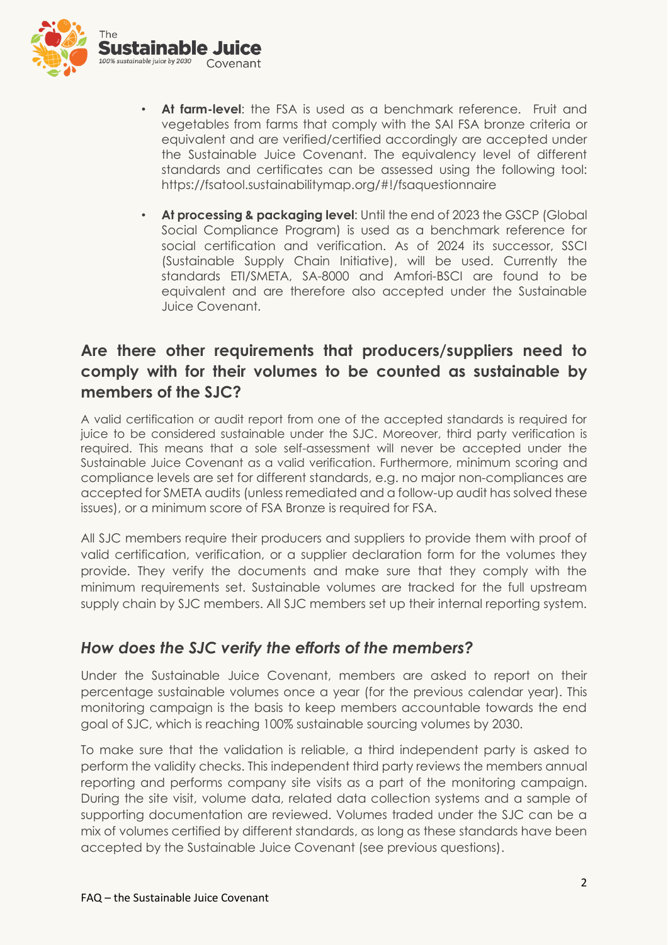

- **At farm-level**: the FSA is used as a benchmark reference. Fruit and vegetables from farms that comply with the SAI FSA bronze criteria or equivalent and are verified/certified accordingly are accepted under the Sustainable Juice Covenant. The equivalency level of different standards and certificates can be assessed using the following tool: https://fsatool.sustainabilitymap.org/#!/fsaquestionnaire
- **At processing & packaging level**: Until the end of 2023 the GSCP (Global Social Compliance Program) is used as a benchmark reference for social certification and verification. As of 2024 its successor, SSCI (Sustainable Supply Chain Initiative), will be used. Currently the standards ETI/SMETA, SA-8000 and Amfori-BSCI are found to be equivalent and are therefore also accepted under the Sustainable Juice Covenant.

# **Are there other requirements that producers/suppliers need to comply with for their volumes to be counted as sustainable by members of the SJC?**

A valid certification or audit report from one of the accepted standards is required for juice to be considered sustainable under the SJC. Moreover, third party verification is required. This means that a sole self-assessment will never be accepted under the Sustainable Juice Covenant as a valid verification. Furthermore, minimum scoring and compliance levels are set for different standards, e.g. no major non-compliances are accepted for SMETA audits (unless remediated and a follow-up audit has solved these issues), or a minimum score of FSA Bronze is required for FSA.

All SJC members require their producers and suppliers to provide them with proof of valid certification, verification, or a supplier declaration form for the volumes they provide. They verify the documents and make sure that they comply with the minimum requirements set. Sustainable volumes are tracked for the full upstream supply chain by SJC members. All SJC members set up their internal reporting system.

#### *How does the SJC verify the efforts of the members?*

Under the Sustainable Juice Covenant, members are asked to report on their percentage sustainable volumes once a year (for the previous calendar year). This monitoring campaign is the basis to keep members accountable towards the end goal of SJC, which is reaching 100% sustainable sourcing volumes by 2030.

To make sure that the validation is reliable, a third independent party is asked to perform the validity checks. This independent third party reviews the members annual reporting and performs company site visits as a part of the monitoring campaign. During the site visit, volume data, related data collection systems and a sample of supporting documentation are reviewed. Volumes traded under the SJC can be a mix of volumes certified by different standards, as long as these standards have been accepted by the Sustainable Juice Covenant (see previous questions).